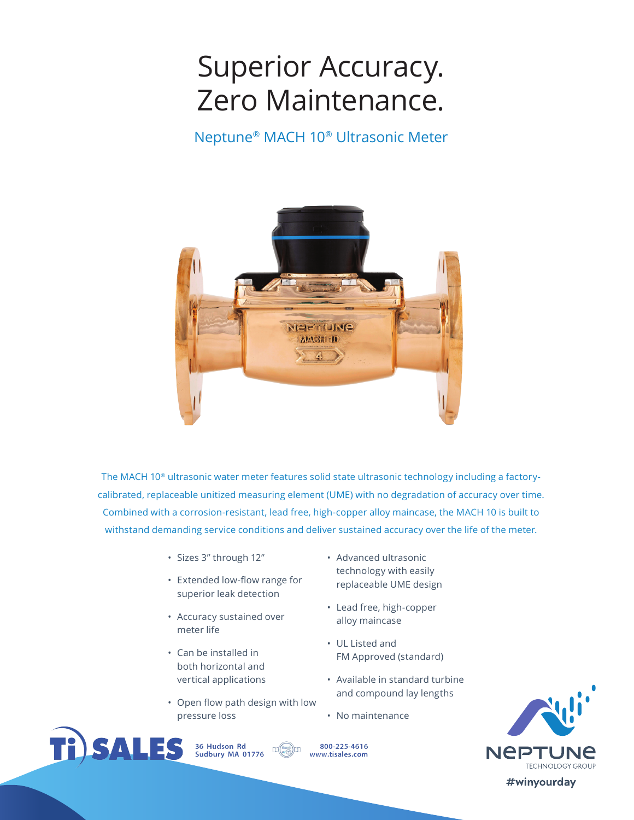# Superior Accuracy. Zero Maintenance.

## Neptune® MACH 10® Ultrasonic Meter



The MACH 10® ultrasonic water meter features solid state ultrasonic technology including a factorycalibrated, replaceable unitized measuring element (UME) with no degradation of accuracy over time. Combined with a corrosion-resistant, lead free, high-copper alloy maincase, the MACH 10 is built to withstand demanding service conditions and deliver sustained accuracy over the life of the meter.

- Sizes 3" through 12"
- Extended low-flow range for superior leak detection
- Accuracy sustained over meter life
- Can be installed in both horizontal and vertical applications

36 Hudson Rd

Sudbury MA 01776

• Open flow path design with low pressure loss

 $\Box$ (

- Advanced ultrasonic technology with easily replaceable UME design
- Lead free, high-copper alloy maincase
- UL Listed and FM Approved (standard)
- Available in standard turbine and compound lay lengths
- No maintenance

800-225-4616

www.tisales.com